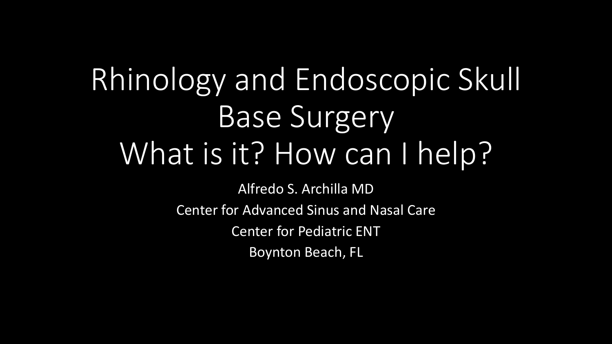# Rhinology and Endoscopic Skull Base Surgery What is it? How can I help?

Alfredo S. Archilla MD Center for Advanced Sinus and Nasal Care Center for Pediatric ENT Boynton Beach, FL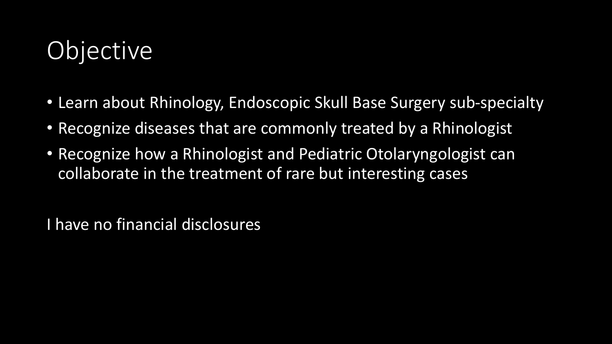### **Objective**

- Learn about Rhinology, Endoscopic Skull Base Surgery sub-specialty
- Recognize diseases that are commonly treated by a Rhinologist
- Recognize how a Rhinologist and Pediatric Otolaryngologist can collaborate in the treatment of rare but interesting cases

I have no financial disclosures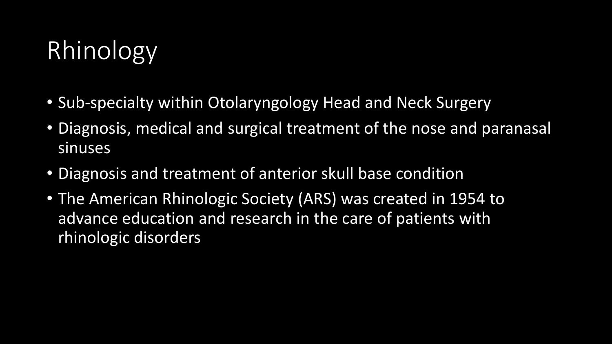### Rhinology

- Sub-specialty within Otolaryngology Head and Neck Surgery
- Diagnosis, medical and surgical treatment of the nose and paranasal sinuses
- Diagnosis and treatment of anterior skull base condition
- The American Rhinologic Society (ARS) was created in 1954 to advance education and research in the care of patients with rhinologic disorders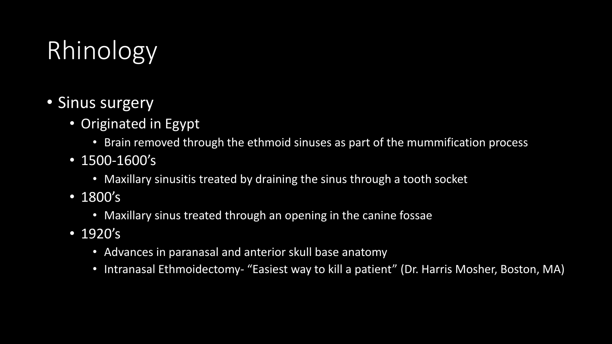## Rhinology

- Sinus surgery
	- Originated in Egypt
		- Brain removed through the ethmoid sinuses as part of the mummification process
	- 1500-1600's
		- Maxillary sinusitis treated by draining the sinus through a tooth socket
	- 1800's
		- Maxillary sinus treated through an opening in the canine fossae
	- 1920's
		- Advances in paranasal and anterior skull base anatomy
		- Intranasal Ethmoidectomy- "Easiest way to kill a patient" (Dr. Harris Mosher, Boston, MA)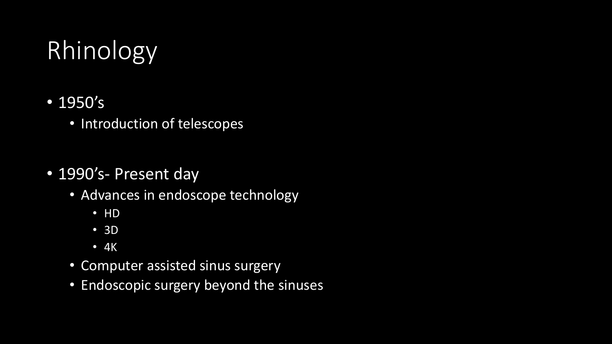## Rhinology

- 1950's
	- Introduction of telescopes
- 1990's- Present day
	- Advances in endoscope technology
		- HD
		- 3D
		- 4K
	- Computer assisted sinus surgery
	- Endoscopic surgery beyond the sinuses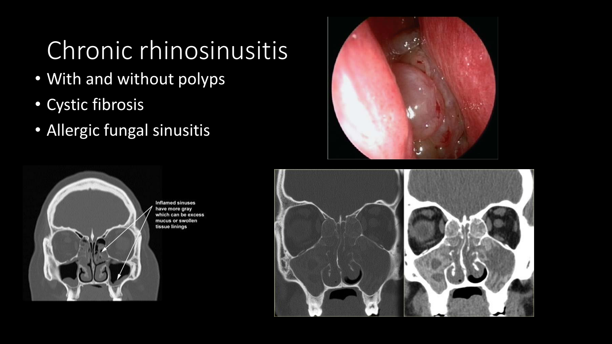### Chronic rhinosinusitis

- With and without polyps
- Cystic fibrosis
- Allergic fungal sinusitis





**Inflamed sinuses** have more gray which can be excess mucus or swollen tissue linings

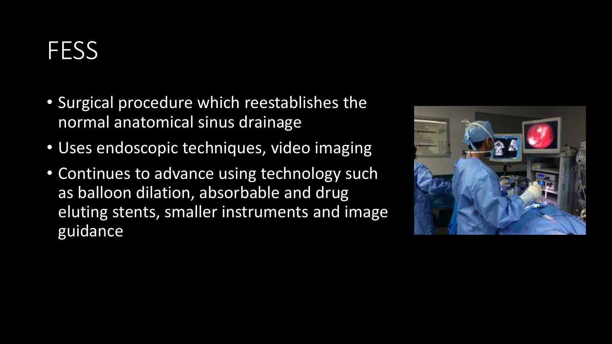#### **FESS**

- Surgical procedure which reestablishes the normal anatomical sinus drainage
- Uses endoscopic techniques, video imaging
- Continues to advance using technology such as balloon dilation, absorbable and drug eluting stents, smaller instruments and image guidance

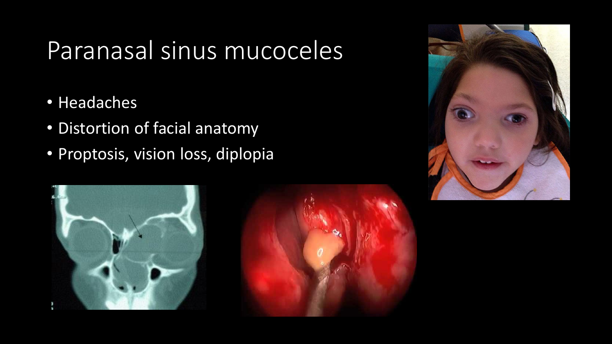#### Paranasal sinus mucoceles

- Headaches
- Distortion of facial anatomy
- Proptosis, vision loss, diplopia





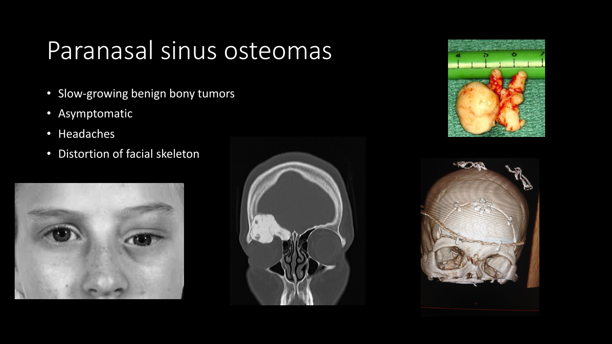#### Paranasal sinus osteomas

- Slow-growing benign bony tumors
- Asymptomatic
- Headaches
- Distortion of facial skeleton







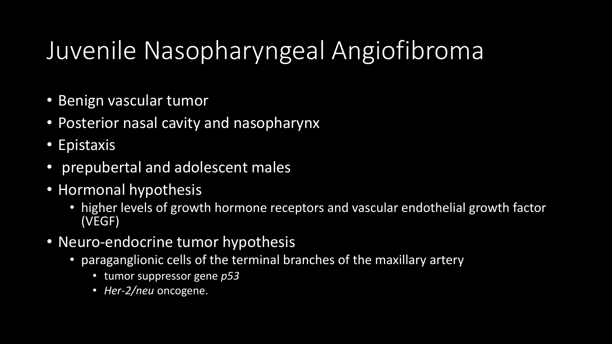### Juvenile Nasopharyngeal Angiofibroma

- Benign vascular tumor
- Posterior nasal cavity and nasopharynx
- Epistaxis
- prepubertal and adolescent males
- Hormonal hypothesis
	- higher levels of growth hormone receptors and vascular endothelial growth factor (VEGF)
- Neuro-endocrine tumor hypothesis
	- paraganglionic cells of the terminal branches of the maxillary artery
		- tumor suppressor gene *p53*
		- *Her-2/neu* oncogene.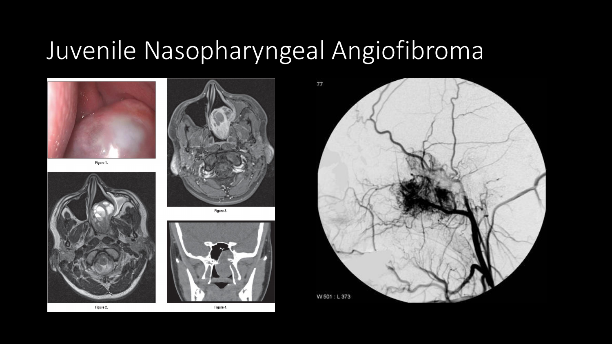#### Juvenile Nasopharyngeal Angiofibroma







Figure 3.







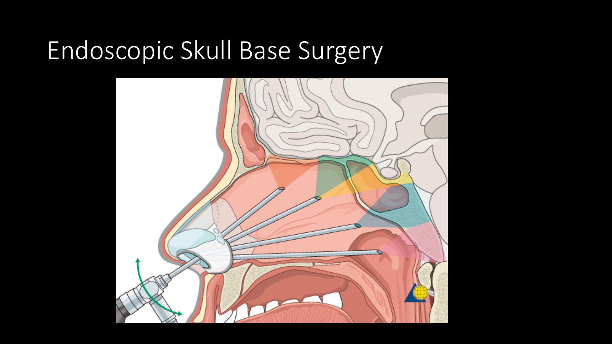#### Endoscopic Skull Base Surgery

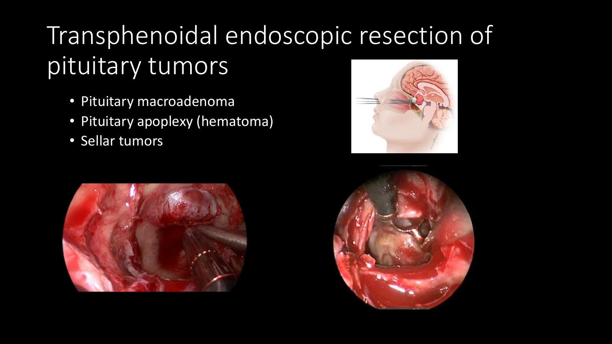## Transphenoidal endoscopic resection of pituitary tumors

- Pituitary macroadenoma
- Pituitary apoplexy (hematoma)
- Sellar tumors





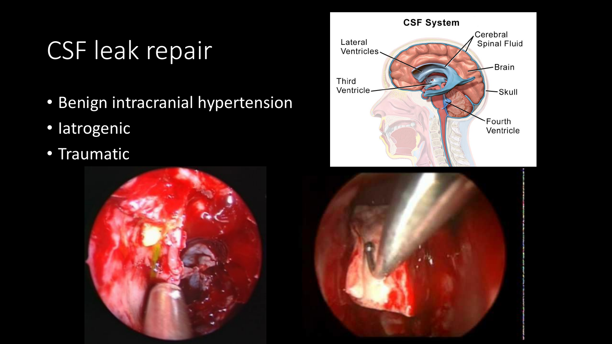### CSF leak repair

- Benign intracranial hypertension
- Iatrogenic
- **Traumatic**





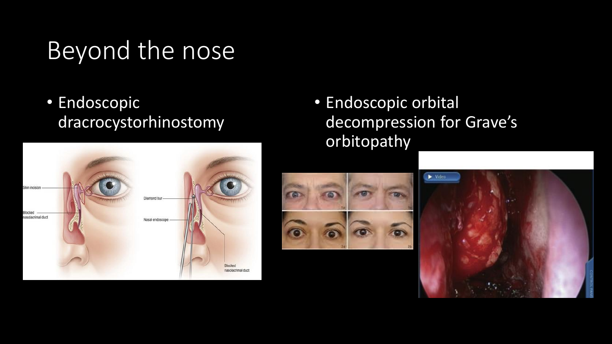#### Beyond the nose

• Endoscopic dracrocystorhinostomy



• Endoscopic orbital decompression for Grave's orbitopathy



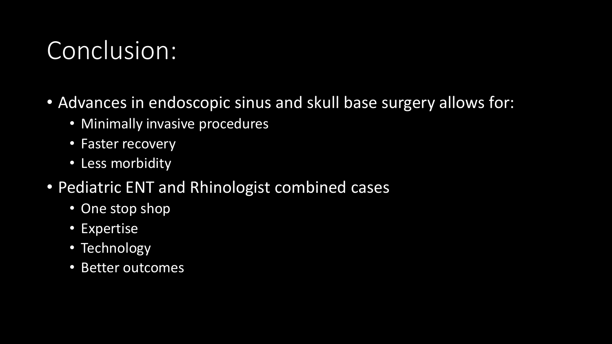#### Conclusion:

- Advances in endoscopic sinus and skull base surgery allows for:
	- Minimally invasive procedures
	- Faster recovery
	- Less morbidity
- Pediatric ENT and Rhinologist combined cases
	- One stop shop
	- Expertise
	- Technology
	- Better outcomes